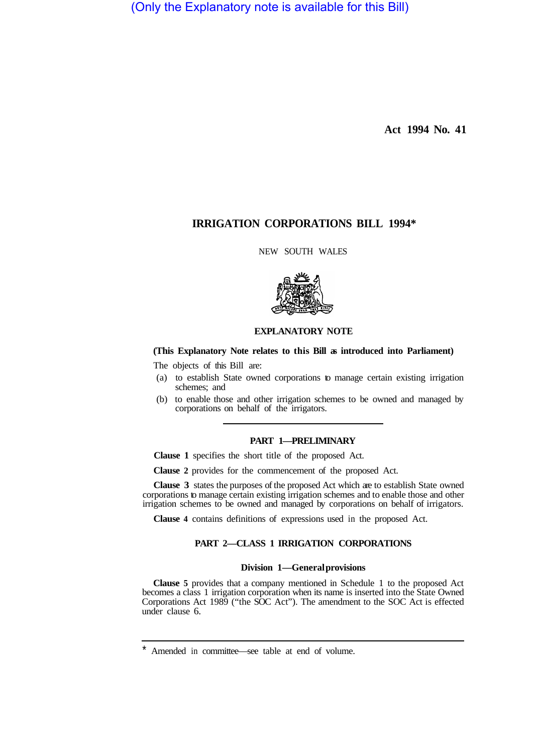(Only the Explanatory note is available for this Bill)

**Act 1994 No. 41** 

# **IRRIGATION CORPORATIONS BILL 1994\***

NEW SOUTH WALES



## **EXPLANATORY NOTE**

### **(This Explanatory Note relates to this Bill as introduced into Parliament)**

The objects of this Bill are:

- (a) to establish State owned corporations to manage certain existing irrigation schemes; and
- (b) to enable those and other irrigation schemes to be owned and managed by corporations on behalf of the irrigators.

# **PART 1—PRELIMINARY**

**Clause 1** specifies the short title of the proposed Act.

**Clause 2** provides for the commencement of the proposed Act.

**Clause 3** states the purposes of the proposed Act which are to establish State owned corporations to manage certain existing irrigation schemes and to enable those and other irrigation schemes to be owned and managed by corporations on behalf of irrigators.

**Clause 4** contains definitions of expressions used in the proposed Act.

# **PART 2—CLASS 1 IRRIGATION CORPORATIONS**

### **Division 1—General provisions**

**Clause 5** provides that a company mentioned in Schedule 1 to the proposed Act becomes a class 1 irrigation corporation when its name is inserted into the State Owned Corporations Act 1989 ("the SOC Act"). The amendment to the SOC Act is effected under clause 6.

Amended in committee—see table at end of volume.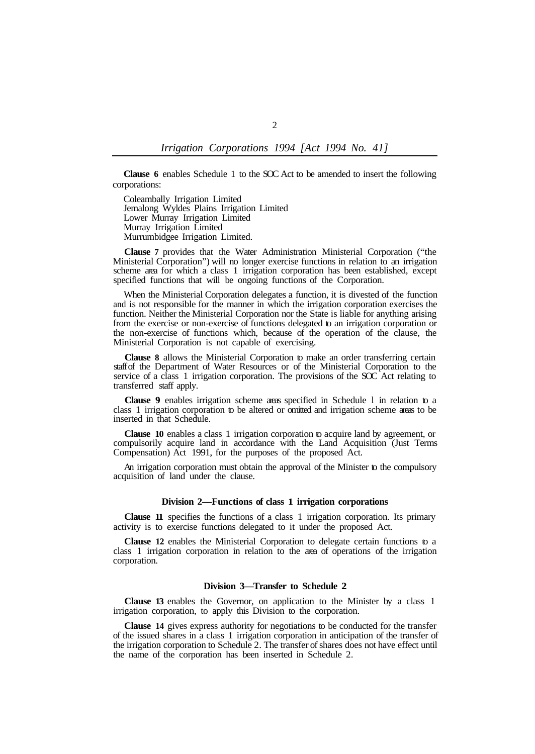**Clause 6** enables Schedule 1 to the SOC Act to be amended to insert the following corporations:

Coleambally Irrigation Limited Jemalong Wyldes Plains Irrigation Limited Lower Murray Irrigation Limited Murray Irrigation Limited Murrumbidgee Irrigation Limited.

**Clause 7** provides that the Water Administration Ministerial Corporation ("the Ministerial Corporation") will no longer exercise functions in relation to an irrigation scheme area for which a class 1 irrigation corporation has been established, except specified functions that will be ongoing functions of the Corporation.

When the Ministerial Corporation delegates a function, it is divested of the function and is not responsible for the manner in which the irrigation corporation exercises the function. Neither the Ministerial Corporation nor the State is liable for anything arising from the exercise or non-exercise of functions delegated to an irrigation corporation or the non-exercise of functions which, because of the operation of the clause, the Ministerial Corporation is not capable of exercising.

**Clause 8** allows the Ministerial Corporation to make an order transferring certain staff of the Department of Water Resources or of the Ministerial Corporation to the service of a class 1 irrigation corporation. The provisions of the  $SOC$ <sup>1</sup> Act relating to transferred staff apply.

**Clause 9** enables irrigation scheme areas specified in Schedule l in relation to a class 1 irrigation corporation to be altered or omitted and irrigation scheme areas to be inserted in that Schedule.

**Clause 10** enables a class 1 irrigation corporation to acquire land by agreement, or compulsorily acquire land in accordance with the Land Acquisition (Just Terms Compensation) Act 1991, for the purposes of the proposed Act.

An irrigation corporation must obtain the approval of the Minister to the compulsory acquisition of land under the clause.

#### **Division 2—Functions of class 1 irrigation corporations**

**Clause 11** specifies the functions of a class 1 irrigation corporation. Its primary activity is to exercise functions delegated to it under the proposed Act.

**Clause 12** enables the Ministerial Corporation to delegate certain functions to a class 1 irrigation corporation in relation to the area of operations of the irrigation corporation.

### **Division 3—Transfer to Schedule 2**

**Clause 13** enables the Governor, on application to the Minister by a class 1 irrigation corporation, to apply this Division to the corporation.

**Clause 14** gives express authority for negotiations to be conducted for the transfer of the issued shares in a class 1 irrigation corporation in anticipation of the transfer of the irrigation corporation to Schedule 2. The transfer of shares does not have effect until the name of the corporation has been inserted in Schedule 2.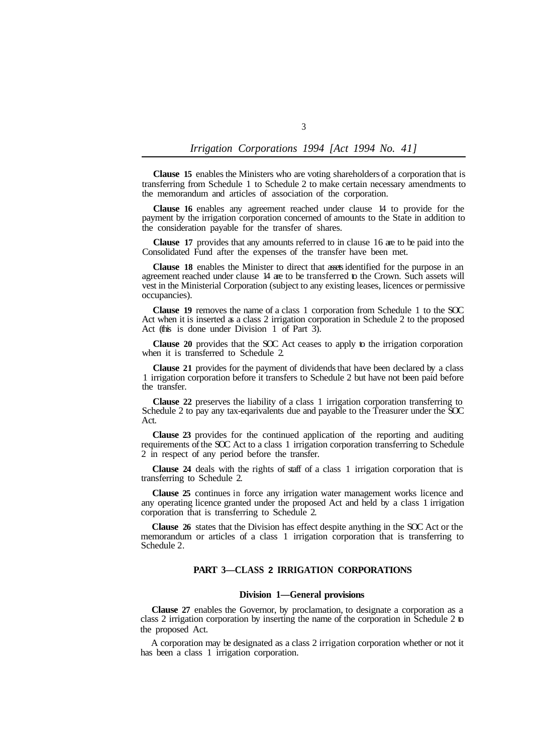**Clause 15** enables the Ministers who are voting shareholders of a corporation that is transferring from Schedule 1 to Schedule 2 to make certain necessary amendments to the memorandum and articles of association of the corporation.

**Clause 16** enables any agreement reached under clause 14 to provide for the payment by the irrigation corporation concerned of amounts to the State in addition to the consideration payable for the transfer of shares.

**Clause 17** provides that any amounts referred to in clause 16 are to be paid into the Consolidated Fund after the expenses of the transfer have been met.

**Clause 18** enables the Minister to direct that assets identified for the purpose in an agreement reached under clause 14 are to be transferred to the Crown. Such assets will vest in the Ministerial Corporation (subject to any existing leases, licences or permissive occupancies).

**Clause 19** removes the name of a class 1 corporation from Schedule 1 to the SOC Act when it is inserted as a class 2 irrigation corporation in Schedule 2 to the proposed Act (this is done under Division 1 of Part 3).

**Clause 20** provides that the SOC Act ceases to apply to the irrigation corporation when it is transferred to Schedule 2.

**Clause 21** provides for the payment of dividends that have been declared by a class 1 irrigation corporation before it transfers to Schedule 2 but have not been paid before the transfer.

**Clause 22** preserves the liability of a class 1 irrigation corporation transferring to Schedule 2 to pay any tax-eqarivalents due and payable to the Treasurer under the SOC Act.

**Clause 23** provides for the continued application of the reporting and auditing requirements of the SOC Act to a class 1 irrigation corporation transferring to Schedule 2 in respect of any period before the transfer.

**Clause 24** deals with the rights of staff of a class 1 irrigation corporation that is transferring to Schedule 2.

**Clause 25** continues in force any irrigation water management works licence and any operating licence granted under the proposed Act and held by a class 1 irrigation corporation that is transferring to Schedule 2.

**Clause 26** states that the Division has effect despite anything in the SOC Act or the memorandum or articles of a class 1 irrigation corporation that is transferring to Schedule 2.

## **PART 3—CLASS 2 IRRIGATION CORPORATIONS**

#### **Division 1—General provisions**

**Clause 27** enables the Governor, by proclamation, to designate a corporation as a class 2 irrigation corporation by inserting the name of the corporation in Schedule 2 to the proposed Act.

A corporation may be designated as a class 2 irrigation corporation whether or not it has been a class 1 irrigation corporation.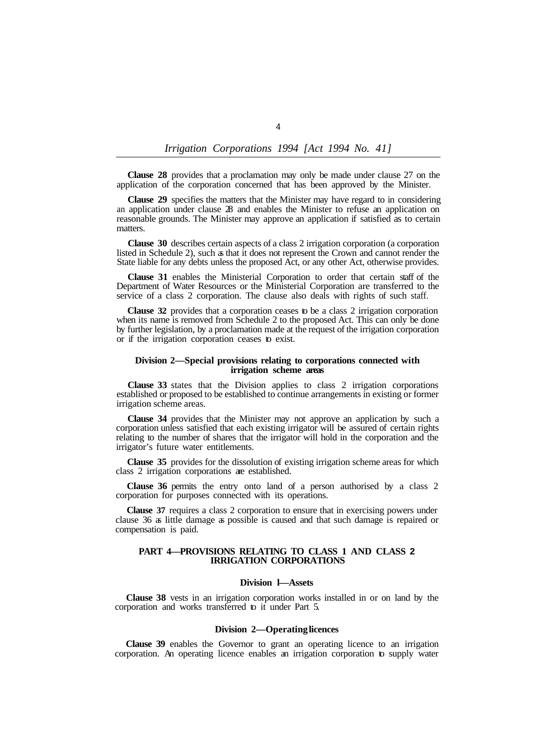**Clause 28** provides that a proclamation may only be made under clause 27 on the application of the corporation concerned that has been approved by the Minister.

**Clause 29** specifies the matters that the Minister may have regard to in considering an application under clause 28 and enables the Minister to refuse an application on reasonable grounds. The Minister may approve an application if satisfied as to certain matters.

**Clause 30** describes certain aspects of a class 2 irrigation corporation (a corporation listed in Schedule 2), such as that it does not represent the Crown and cannot render the State liable for any debts unless the proposed Act, or any other Act, otherwise provides.

**Clause 31** enables the Ministerial Corporation to order that certain staff of the Department of Water Resources or the Ministerial Corporation are transferred to the service of a class 2 corporation. The clause also deals with rights of such staff.

**Clause 32** provides that a corporation ceases to be a class 2 irrigation corporation when its name is removed from Schedule 2 to the proposed Act. This can only be done by further legislation, by a proclamation made at the request of the irrigation corporation or if the irrigation corporation ceases to exist.

#### **Division 2—Special provisions relating to corporations connected with irrigation scheme areas**

**Clause 33** states that the Division applies to class 2 irrigation corporations established or proposed to be established to continue arrangements in existing or former irrigation scheme areas.

**Clause 34** provides that the Minister may not approve an application by such a corporation unless satisfied that each existing irrigator will be assured of certain rights relating to the number of shares that the irrigator will hold in the corporation and the irrigator's future water entitlements.

**Clause 35** provides for the dissolution of existing irrigation scheme areas for which class 2 irrigation corporations are established.

**Clause 36** permits the entry onto land of a person authorised by a class 2 corporation for purposes connected with its operations.

**Clause 37** requires a class 2 corporation to ensure that in exercising powers under clause 36 as little damage as possible is caused and that such damage is repaired or compensation is paid.

### **PART 4—PROVISIONS RELATING TO CLASS 1 AND CLASS 2 IRRIGATION CORPORATIONS**

#### **Division l—Assets**

**Clause 38** vests in an irrigation corporation works installed in or on land by the corporation and works transferred to it under Part 5.

### **Division 2—Operating licences**

**Clause 39** enables the Governor to grant an operating licence to an irrigation corporation. An operating licence enables an irrigation corporation to supply water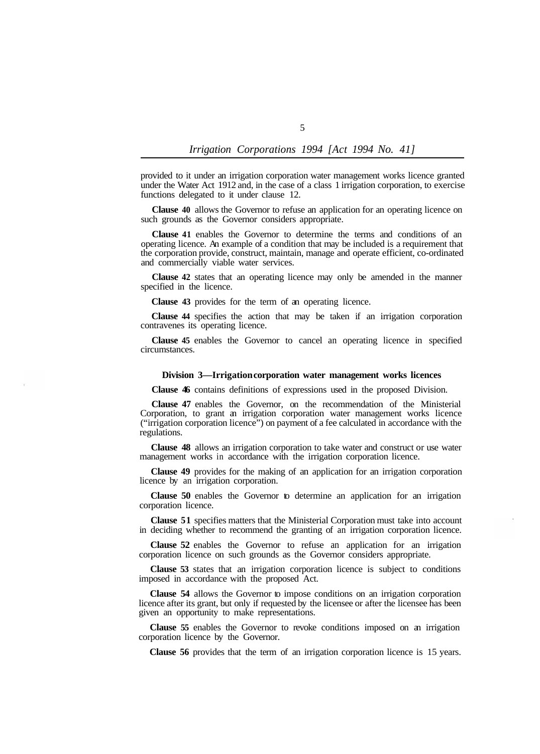provided to it under an irrigation corporation water management works licence granted under the Water Act 1912 and, in the case of a class 1 irrigation corporation, to exercise functions delegated to it under clause 12.

**Clause 40** allows the Governor to refuse an application for an operating licence on such grounds as the Governor considers appropriate.

**Clause 41** enables the Governor to determine the terms and conditions of an operating licence. An example of a condition that may be included is a requirement that the corporation provide, construct, maintain, manage and operate efficient, co-ordinated and commercially viable water services.

**Clause 42** states that an operating licence may only be amended in the manner specified in the licence.

**Clause 43** provides for the term of an operating licence.

**Clause 44** specifies the action that may be taken if an irrigation corporation contravenes its operating licence.

**Clause 45** enables the Governor to cancel an operating licence in specified circumstances.

#### **Division 3—Irrigation corporation water management works licences**

**Clause 46** contains definitions of expressions used in the proposed Division.

**Clause 47** enables the Governor, on the recommendation of the Ministerial Corporation, to grant an irrigation corporation water management works licence ("irrigation corporation licence") on payment of a fee calculated in accordance with the regulations.

**Clause 48** allows an irrigation corporation to take water and construct or use water management works in accordance with the irrigation corporation licence.

**Clause 49** provides for the making of an application for an irrigation corporation licence by an irrigation corporation.

**Clause 50** enables the Governor to determine an application for an irrigation corporation licence.

**Clause 51** specifies matters that the Ministerial Corporation must take into account in deciding whether to recommend the granting of an irrigation corporation licence.

**Clause 52** enables the Governor to refuse an application for an irrigation corporation licence on such grounds as the Governor considers appropriate.

**Clause 53** states that an irrigation corporation licence is subject to conditions imposed in accordance with the proposed Act.

**Clause 54** allows the Governor to impose conditions on an irrigation corporation licence after its grant, but only if requested by the licensee or after the licensee has been given an opportunity to make representations.

**Clause 55** enables the Governor to revoke conditions imposed on an irrigation corporation licence by the Governor.

**Clause 56** provides that the term of an irrigation corporation licence is 15 years.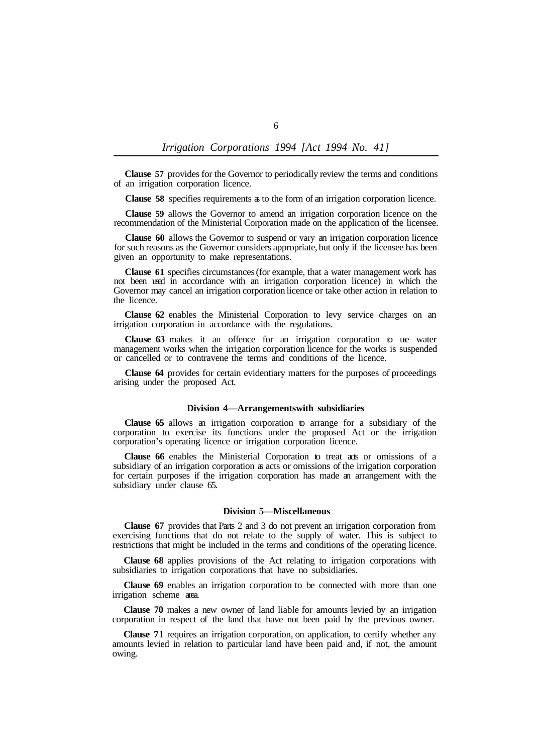**Clause 57** provides for the Governor to periodically review the terms and conditions of an irrigation corporation licence.

**Clause 58** specifies requirements as to the form of an irrigation corporation licence.

**Clause 59** allows the Governor to amend an irrigation corporation licence on the recommendation of the Ministerial Corporation made on the application of the licensee.

**Clause 60** allows the Governor to suspend or vary an irrigation corporation licence for such reasons as the Governor considers appropriate, but only if the licensee has been given an opportunity to make representations.

**Clause 61** specifies circumstances (for example, that a water management work has not been used in accordance with an irrigation corporation licence) in which the Governor may cancel an irrigation corporation licence or take other action in relation to the licence.

**Clause 62** enables the Ministerial Corporation to levy service charges on an irrigation corporation in accordance with the regulations.

**Clause 63** makes it an offence for an irrigation corporation to use water management works when the irrigation corporation licence for the works is suspended or cancelled or to contravene the terms and conditions of the licence.

**Clause 64** provides for certain evidentiary matters for the purposes of proceedings arising under the proposed Act.

# **Division 4—Arrangements with subsidiaries**

**Clause 65** allows an irrigation corporation to arrange for a subsidiary of the corporation to exercise its functions under the proposed Act or the irrigation corporation's operating licence or irrigation corporation licence.

**Clause 66** enables the Ministerial Corporation to treat acts or omissions of a subsidiary of an irrigation corporation as acts or omissions of the irrigation corporation for certain purposes if the irrigation corporation has made an arrangement with the subsidiary under clause 65.

#### **Division 5—Miscellaneous**

**Clause 67** provides that Parts 2 and 3 do not prevent an irrigation corporation from exercising functions that do not relate to the supply of water. This is subject to restrictions that might be included in the terms and conditions of the operating licence.

**Clause 68** applies provisions of the Act relating to irrigation corporations with subsidiaries to irrigation corporations that have no subsidiaries.

**Clause 69** enables an irrigation corporation to be connected with more than one irrigation scheme area.

**Clause 70** makes a new owner of land liable for amounts levied by an irrigation corporation in respect of the land that have not been paid by the previous owner.

**Clause 71** requires an irrigation corporation, on application, to certify whether any amounts levied in relation to particular land have been paid and, if not, the amount owing.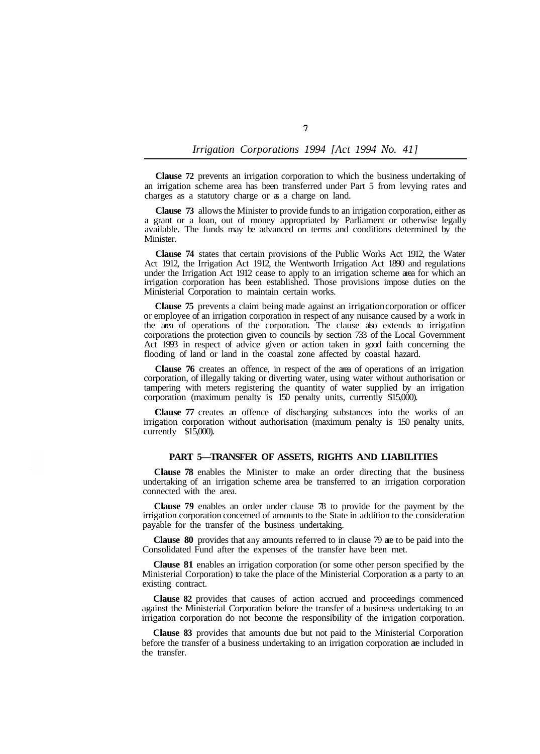**Clause 72** prevents an irrigation corporation to which the business undertaking of an irrigation scheme area has been transferred under Part 5 from levying rates and charges as a statutory charge or as a charge on land.

**Clause 73** allows the Minister to provide funds to an irrigation corporation, either as a grant or a loan, out of money appropriated by Parliament or otherwise legally available. The funds may be advanced on terms and conditions determined by the **Minister** 

**Clause 74** states that certain provisions of the Public Works Act 1912, the Water Act 1912, the Irrigation Act 1912, the Wentworth Irrigation Act 1890 and regulations under the Irrigation Act 1912 cease to apply to an irrigation scheme area for which an irrigation corporation has been established. Those provisions impose duties on the Ministerial Corporation to maintain certain works.

**Clause 75** prevents a claim being made against an irrigation corporation or officer or employee of an irrigation corporation in respect of any nuisance caused by a work in the area of operations of the corporation. The clause also extends to irrigation corporations the protection given to councils by section 733 of the Local Government Act 1993 in respect of advice given or action taken in good faith concerning the flooding of land or land in the coastal zone affected by coastal hazard.

**Clause 76** creates an offence, in respect of the area of operations of an irrigation corporation, of illegally taking or diverting water, using water without authorisation or tampering with meters registering the quantity of water supplied by an irrigation corporation (maximum penalty is 150 penalty units, currently \$15,000).

**Clause 77** creates an offence of discharging substances into the works of an irrigation corporation without authorisation (maximum penalty is 150 penalty units, currently  $$15,000$ .

### **PART 5—TRANSFER OF ASSETS, RIGHTS AND LIABILITIES**

**Clause 78** enables the Minister to make an order directing that the business undertaking of an irrigation scheme area be transferred to an irrigation corporation connected with the area.

**Clause 79** enables an order under clause 78 to provide for the payment by the irrigation corporation concerned of amounts to the State in addition to the consideration payable for the transfer of the business undertaking.

**Clause 80** provides that any amounts referred to in clause 79 are to be paid into the Consolidated Fund after the expenses of the transfer have been met.

**Clause 81** enables an irrigation corporation (or some other person specified by the Ministerial Corporation) to take the place of the Ministerial Corporation as a party to an existing contract.

**Clause 82** provides that causes of action accrued and proceedings commenced against the Ministerial Corporation before the transfer of a business undertaking to an irrigation corporation do not become the responsibility of the irrigation corporation.

**Clause 83** provides that amounts due but not paid to the Ministerial Corporation before the transfer of a business undertaking to an irrigation corporation are included in the transfer.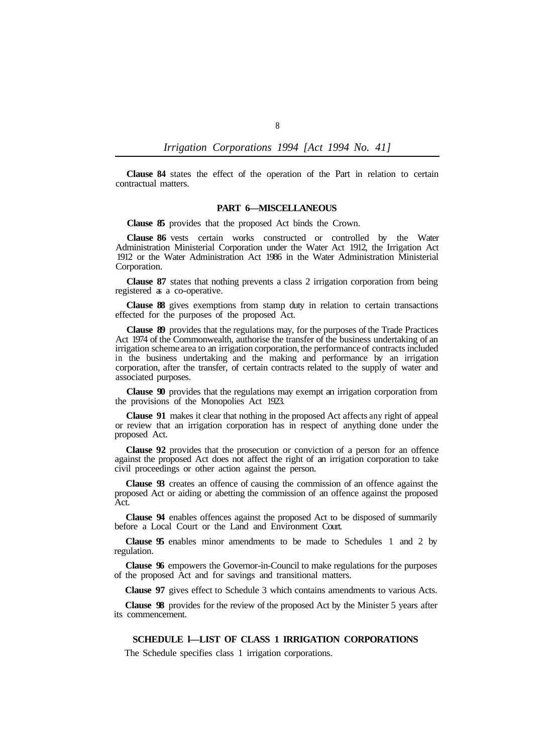**Clause 84** states the effect of the operation of the Part in relation to certain contractual matters.

#### **PART 6—MISCELLANEOUS**

**Clause 85** provides that the proposed Act binds the Crown.

**Clause 86** vests certain works constructed or controlled by the Water Administration Ministerial Corporation under the Water Act 1912, the Irrigation Act 1912 or the Water Administration Act 1986 in the Water Administration Ministerial Corporation.

**Clause 87** states that nothing prevents a class 2 irrigation corporation from being registered as a co-operative.

**Clause 88** gives exemptions from stamp duty in relation to certain transactions effected for the purposes of the proposed Act.

**Clause 89** provides that the regulations may, for the purposes of the Trade Practices Act 1974 of the Commonwealth, authorise the transfer of the business undertaking of an irrigation scheme area to an irrigation corporation, the performance of contracts included in the business undertaking and the making and performance by an irrigation corporation, after the transfer, of certain contracts related to the supply of water and associated purposes.

**Clause 90** provides that the regulations may exempt an irrigation corporation from the provisions of the Monopolies Act 1923.

**Clause 91** makes it clear that nothing in the proposed Act affects any right of appeal or review that an irrigation corporation has in respect of anything done under the proposed Act.

**Clause 92** provides that the prosecution or conviction of a person for an offence against the proposed Act does not affect the right of an irrigation corporation to take civil proceedings or other action against the person.

**Clause 93** creates an offence of causing the commission of an offence against the proposed Act or aiding or abetting the commission of an offence against the proposed Act.

**Clause 94** enables offences against the proposed Act to be disposed of summarily before a Local Court or the Land and Environment Court.

**Clause 95** enables minor amendments to be made to Schedules 1 and 2 by regulation.

**Clause 96** empowers the Governor-in-Council to make regulations for the purposes of the proposed Act and for savings and transitional matters.

**Clause 97** gives effect to Schedule 3 which contains amendments to various Acts.

**Clause 98** provides for the review of the proposed Act by the Minister 5 years after its commencement.

**SCHEDULE l—LIST OF CLASS 1 IRRIGATION CORPORATIONS** 

The Schedule specifies class 1 irrigation corporations.